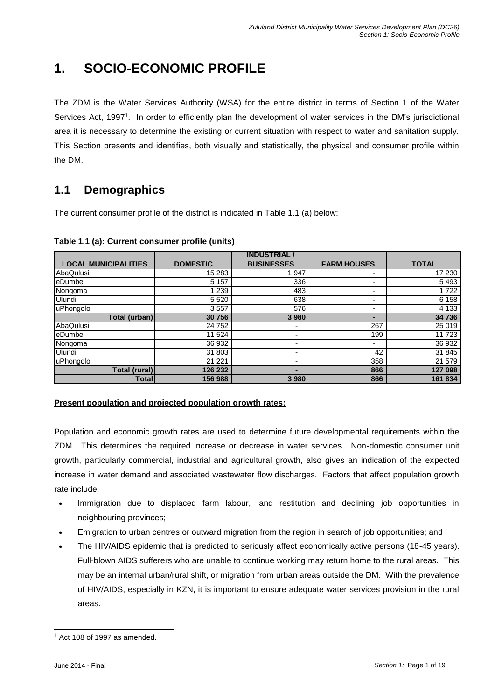# **1. SOCIO-ECONOMIC PROFILE**

The ZDM is the Water Services Authority (WSA) for the entire district in terms of Section 1 of the Water Services Act, 1997<sup>1</sup>. In order to efficiently plan the development of water services in the DM's jurisdictional area it is necessary to determine the existing or current situation with respect to water and sanitation supply. This Section presents and identifies, both visually and statistically, the physical and consumer profile within the DM.

# **1.1 Demographics**

The current consumer profile of the district is indicated in Table 1.1 (a) below:

|                             |                 | <b>INDUSTRIAL</b> |                          |              |
|-----------------------------|-----------------|-------------------|--------------------------|--------------|
| <b>LOCAL MUNICIPALITIES</b> | <b>DOMESTIC</b> | <b>BUSINESSES</b> | <b>FARM HOUSES</b>       | <b>TOTAL</b> |
| AbaQulusi                   | 15 283          | 947               |                          | 17 230       |
| eDumbe                      | 5 1 5 7         | 336               |                          | 5493         |
| Nongoma                     | 1 2 3 9         | 483               | $\overline{\phantom{0}}$ | 1722         |
| Ulundi                      | 5 5 20          | 638               | $\overline{\phantom{0}}$ | 6 1 5 8      |
| uPhongolo                   | 3557            | 576               | $\overline{\phantom{a}}$ | 4 1 3 3      |
| Total (urban)               | 30 756          | 3 9 8 0           |                          | 34 736       |
| AbaQulusi                   | 24 752          | ٠                 | 267                      | 25 019       |
| eDumbe                      | 11 524          | ۰                 | 199                      | 11723        |
| Nongoma                     | 36 932          | ۰                 | $\overline{\phantom{0}}$ | 36 932       |
| Ulundi                      | 31 803          | ۰                 | 42                       | 31 845       |
| uPhongolo                   | 21 221          | ۰                 | 358                      | 21 579       |
| <b>Total (rural)</b>        | 126 232         |                   | 866                      | 127 098      |
| Total                       | 156 988         | 3 9 8 0           | 866                      | 161 834      |

**Table 1.1 (a): Current consumer profile (units)**

## **Present population and projected population growth rates:**

Population and economic growth rates are used to determine future developmental requirements within the ZDM. This determines the required increase or decrease in water services. Non-domestic consumer unit growth, particularly commercial, industrial and agricultural growth, also gives an indication of the expected increase in water demand and associated wastewater flow discharges. Factors that affect population growth rate include:

- Immigration due to displaced farm labour, land restitution and declining job opportunities in neighbouring provinces;
- Emigration to urban centres or outward migration from the region in search of job opportunities; and
- The HIV/AIDS epidemic that is predicted to seriously affect economically active persons (18-45 years). Full-blown AIDS sufferers who are unable to continue working may return home to the rural areas. This may be an internal urban/rural shift, or migration from urban areas outside the DM. With the prevalence of HIV/AIDS, especially in KZN, it is important to ensure adequate water services provision in the rural areas.

l  $1$  Act 108 of 1997 as amended.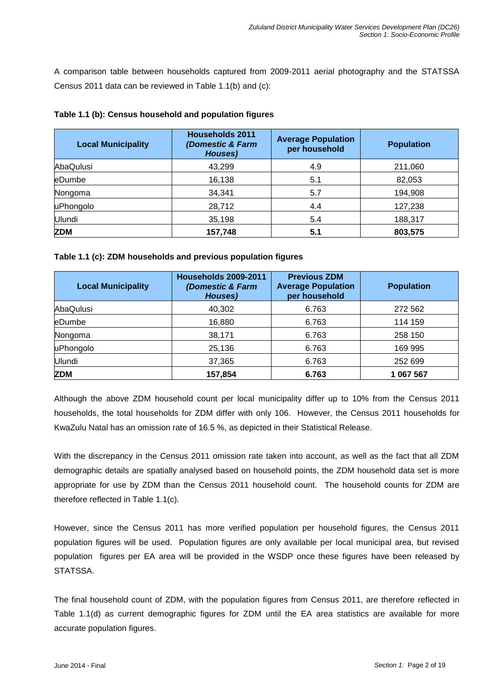A comparison table between households captured from 2009-2011 aerial photography and the STATSSA Census 2011 data can be reviewed in Table 1.1(b) and (c):

| <b>Local Municipality</b> | <b>Households 2011</b><br>(Domestic & Farm<br>Houses) | <b>Average Population</b><br>per household | <b>Population</b> |  |
|---------------------------|-------------------------------------------------------|--------------------------------------------|-------------------|--|
| AbaQulusi                 | 43,299                                                | 4.9                                        | 211,060           |  |
| eDumbe                    | 16,138                                                | 5.1                                        | 82,053            |  |
| Nongoma                   | 34,341                                                | 5.7                                        | 194,908           |  |
| uPhongolo                 | 28,712                                                | 4.4                                        | 127,238           |  |
| Ulundi                    | 35,198                                                | 5.4                                        | 188,317           |  |
| <b>ZDM</b>                | 157,748                                               | 5.1                                        | 803,575           |  |

#### **Table 1.1 (b): Census household and population figures**

#### **Table 1.1 (c): ZDM households and previous population figures**

| <b>Local Municipality</b> | <b>Households 2009-2011</b><br>(Domestic & Farm<br>Houses) | <b>Previous ZDM</b><br><b>Average Population</b><br>per household | <b>Population</b> |
|---------------------------|------------------------------------------------------------|-------------------------------------------------------------------|-------------------|
| AbaQulusi                 | 40,302                                                     | 6.763                                                             | 272 562           |
| <b>leDumbe</b>            | 16,880                                                     | 6.763                                                             | 114 159           |
| Nongoma                   | 6.763<br>38,171                                            |                                                                   | 258 150           |
| uPhongolo                 | 25,136                                                     | 6.763                                                             | 169 995           |
| Ulundi                    | 37,365                                                     | 6.763                                                             | 252 699           |
| <b>ZDM</b>                | 157,854                                                    | 6.763                                                             | 1 067 567         |

Although the above ZDM household count per local municipality differ up to 10% from the Census 2011 households, the total households for ZDM differ with only 106. However, the Census 2011 households for KwaZulu Natal has an omission rate of 16.5 %, as depicted in their Statistical Release.

With the discrepancy in the Census 2011 omission rate taken into account, as well as the fact that all ZDM demographic details are spatially analysed based on household points, the ZDM household data set is more appropriate for use by ZDM than the Census 2011 household count. The household counts for ZDM are therefore reflected in Table 1.1(c).

However, since the Census 2011 has more verified population per household figures, the Census 2011 population figures will be used. Population figures are only available per local municipal area, but revised population figures per EA area will be provided in the WSDP once these figures have been released by STATSSA.

The final household count of ZDM, with the population figures from Census 2011, are therefore reflected in Table 1.1(d) as current demographic figures for ZDM until the EA area statistics are available for more accurate population figures.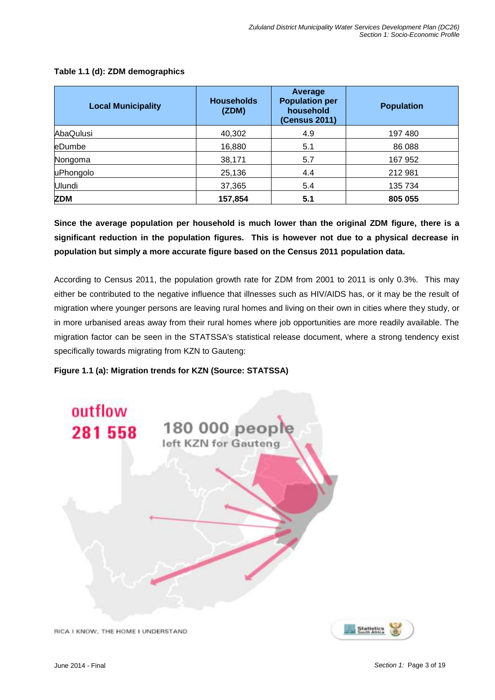| <b>Local Municipality</b> | <b>Households</b><br>(ZDM) | Average<br><b>Population per</b><br>household<br><b>(Census 2011)</b> | <b>Population</b> |  |
|---------------------------|----------------------------|-----------------------------------------------------------------------|-------------------|--|
| AbaQulusi                 | 40,302                     | 4.9                                                                   | 197480            |  |
| eDumbe                    | 16,880                     | 5.1                                                                   | 86 088            |  |
| Nongoma                   | 38,171                     | 5.7                                                                   | 167 952           |  |
| uPhongolo                 | 25,136                     | 4.4                                                                   | 212 981           |  |
| Ulundi                    | 37,365                     | 5.4                                                                   | 135 734           |  |
| <b>ZDM</b>                | 157,854                    | 5.1                                                                   | 805 055           |  |

#### **Table 1.1 (d): ZDM demographics**

**Since the average population per household is much lower than the original ZDM figure, there is a significant reduction in the population figures. This is however not due to a physical decrease in population but simply a more accurate figure based on the Census 2011 population data.**

According to Census 2011, the population growth rate for ZDM from 2001 to 2011 is only 0.3%. This may either be contributed to the negative influence that illnesses such as HIV/AIDS has, or it may be the result of migration where younger persons are leaving rural homes and living on their own in cities where they study, or in more urbanised areas away from their rural homes where job opportunities are more readily available. The migration factor can be seen in the STATSSA's statistical release document, where a strong tendency exist specifically towards migrating from KZN to Gauteng:

#### **Figure 1.1 (a): Migration trends for KZN (Source: STATSSA)**



RICA I KNOW, THE HOME I UNDERSTAND

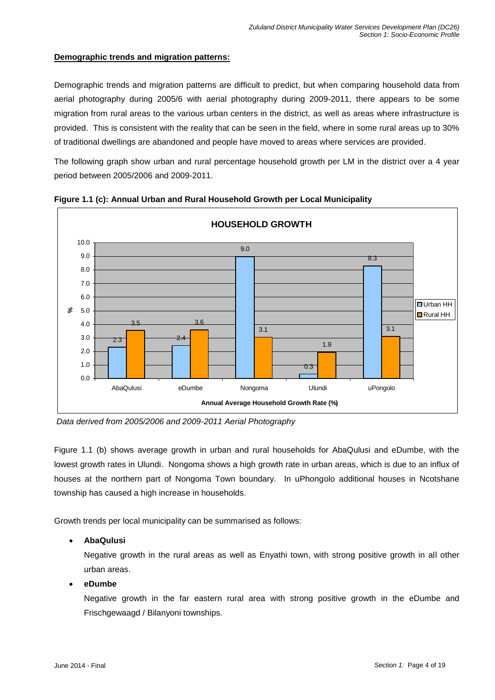#### **Demographic trends and migration patterns:**

Demographic trends and migration patterns are difficult to predict, but when comparing household data from aerial photography during 2005/6 with aerial photography during 2009-2011, there appears to be some migration from rural areas to the various urban centers in the district, as well as areas where infrastructure is provided. This is consistent with the reality that can be seen in the field, where in some rural areas up to 30% of traditional dwellings are abandoned and people have moved to areas where services are provided.

The following graph show urban and rural percentage household growth per LM in the district over a 4 year period between 2005/2006 and 2009-2011.



**Figure 1.1 (c): Annual Urban and Rural Household Growth per Local Municipality**

*Data derived from 2005/2006 and 2009-2011 Aerial Photography*

Figure 1.1 (b) shows average growth in urban and rural households for AbaQulusi and eDumbe, with the lowest growth rates in Ulundi. Nongoma shows a high growth rate in urban areas, which is due to an influx of houses at the northern part of Nongoma Town boundary. In uPhongolo additional houses in Ncotshane township has caused a high increase in households.

Growth trends per local municipality can be summarised as follows:

## **AbaQulusi**

Negative growth in the rural areas as well as Enyathi town, with strong positive growth in all other urban areas.

#### **eDumbe**

Negative growth in the far eastern rural area with strong positive growth in the eDumbe and Frischgewaagd / Bilanyoni townships.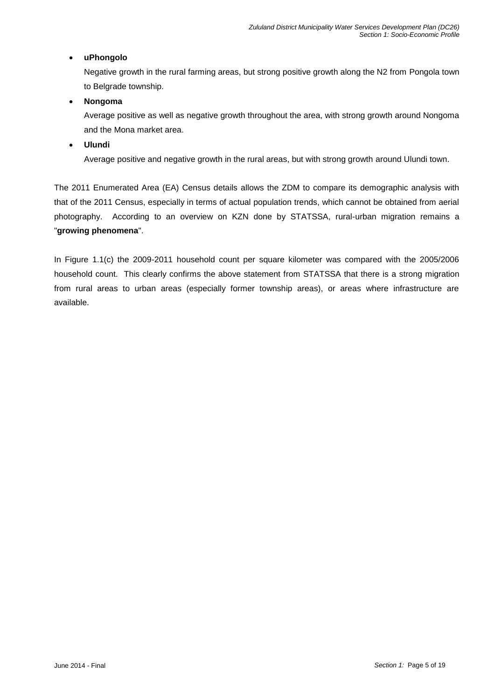#### **uPhongolo**

Negative growth in the rural farming areas, but strong positive growth along the N2 from Pongola town to Belgrade township.

#### **Nongoma**

Average positive as well as negative growth throughout the area, with strong growth around Nongoma and the Mona market area.

#### **Ulundi**

Average positive and negative growth in the rural areas, but with strong growth around Ulundi town.

The 2011 Enumerated Area (EA) Census details allows the ZDM to compare its demographic analysis with that of the 2011 Census, especially in terms of actual population trends, which cannot be obtained from aerial photography. According to an overview on KZN done by STATSSA, rural-urban migration remains a "**growing phenomena**".

In Figure 1.1(c) the 2009-2011 household count per square kilometer was compared with the 2005/2006 household count. This clearly confirms the above statement from STATSSA that there is a strong migration from rural areas to urban areas (especially former township areas), or areas where infrastructure are available.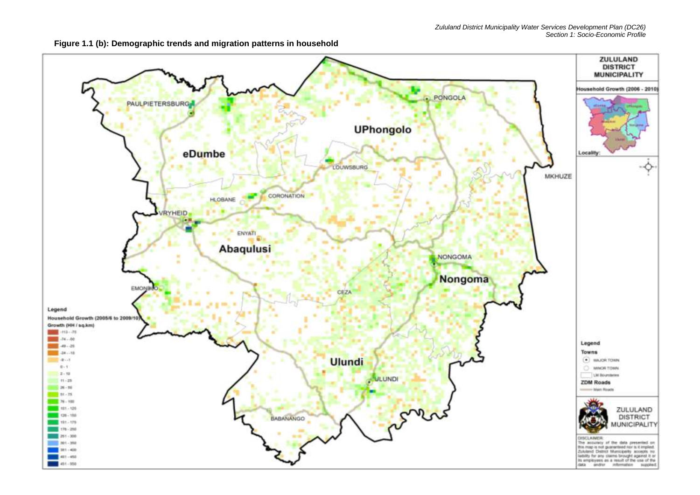

**Figure 1.1 (b): Demographic trends and migration patterns in household**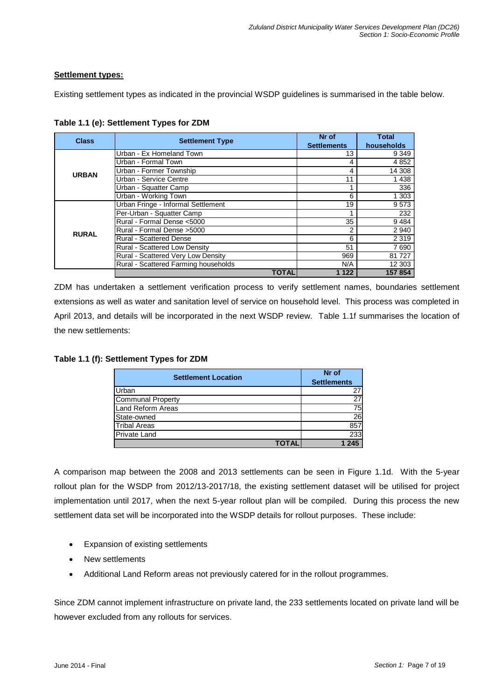#### **Settlement types:**

Existing settlement types as indicated in the provincial WSDP guidelines is summarised in the table below.

| <b>Class</b> | <b>Settlement Type</b>               | Nr of              | Total      |
|--------------|--------------------------------------|--------------------|------------|
|              |                                      | <b>Settlements</b> | households |
|              | Urban - Ex Homeland Town             | 13                 | 9 3 4 9    |
|              | Urban - Formal Town                  |                    | 4 8 5 2    |
| <b>URBAN</b> | Urban - Former Township              | 4                  | 14 308     |
|              | Urban - Service Centre               | 11                 | 1438       |
|              | Urban - Squatter Camp                |                    | 336        |
|              | Urban - Working Town                 | 6                  | 1 303      |
| <b>RURAL</b> | Urban Fringe - Informal Settlement   | 19                 | 9573       |
|              | Per-Urban - Squatter Camp            |                    | 232        |
|              | Rural - Formal Dense <5000           | 35                 | 9484       |
|              | Rural - Formal Dense > 5000          | 2                  | 2 9 4 0    |
|              | <b>Rural - Scattered Dense</b>       | 6                  | 2 3 1 9    |
|              | <b>Rural - Scattered Low Density</b> | 51                 | 7690       |
|              | Rural - Scattered Very Low Density   | 969                | 81727      |
|              | Rural - Scattered Farming households | N/A                | 12 303     |
|              | TOTAL                                | 1 1 2 2            | 157 854    |

**Table 1.1 (e): Settlement Types for ZDM**

ZDM has undertaken a settlement verification process to verify settlement names, boundaries settlement extensions as well as water and sanitation level of service on household level. This process was completed in April 2013, and details will be incorporated in the next WSDP review. Table 1.1f summarises the location of the new settlements:

| <b>Settlement Location</b> | Nr of              |  |  |
|----------------------------|--------------------|--|--|
|                            | <b>Settlements</b> |  |  |
| Urban                      | 27                 |  |  |
| <b>Communal Property</b>   | 27                 |  |  |
| Land Reform Areas          | 75                 |  |  |
| State-owned                | 26                 |  |  |
| <b>Tribal Areas</b>        | 857                |  |  |
| <b>Private Land</b>        | 233                |  |  |
|                            |                    |  |  |

A comparison map between the 2008 and 2013 settlements can be seen in Figure 1.1d. With the 5-year rollout plan for the WSDP from 2012/13-2017/18, the existing settlement dataset will be utilised for project implementation until 2017, when the next 5-year rollout plan will be compiled. During this process the new settlement data set will be incorporated into the WSDP details for rollout purposes. These include:

- Expansion of existing settlements
- New settlements
- Additional Land Reform areas not previously catered for in the rollout programmes.

Since ZDM cannot implement infrastructure on private land, the 233 settlements located on private land will be however excluded from any rollouts for services.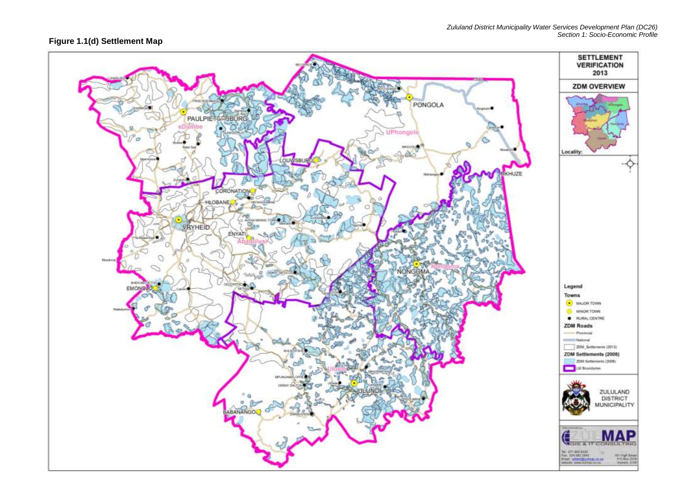#### **Figure 1.1(d) Settlement Map**

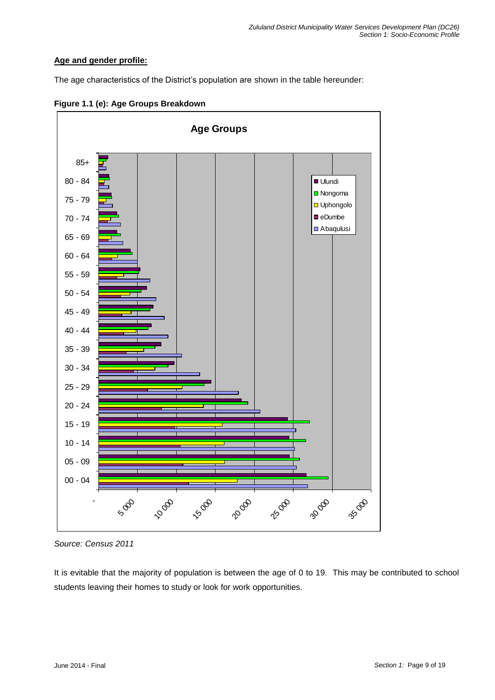## **Age and gender profile:**

The age characteristics of the District's population are shown in the table hereunder:





It is evitable that the majority of population is between the age of 0 to 19. This may be contributed to school students leaving their homes to study or look for work opportunities.

*Source: Census 2011*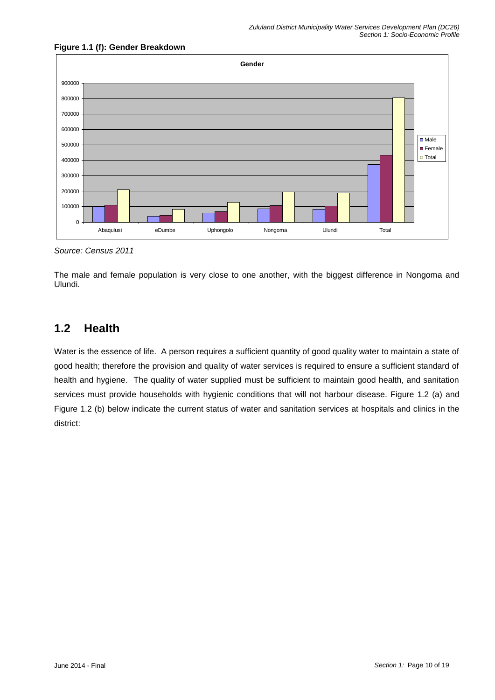

## **Figure 1.1 (f): Gender Breakdown**

*Source: Census 2011*

The male and female population is very close to one another, with the biggest difference in Nongoma and Ulundi.

# **1.2 Health**

Water is the essence of life. A person requires a sufficient quantity of good quality water to maintain a state of good health; therefore the provision and quality of water services is required to ensure a sufficient standard of health and hygiene. The quality of water supplied must be sufficient to maintain good health, and sanitation services must provide households with hygienic conditions that will not harbour disease. Figure 1.2 (a) and Figure 1.2 (b) below indicate the current status of water and sanitation services at hospitals and clinics in the district: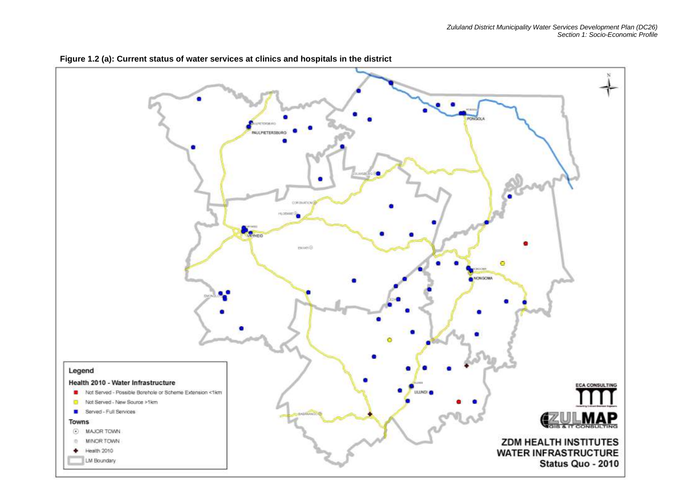

**Figure 1.2 (a): Current status of water services at clinics and hospitals in the district**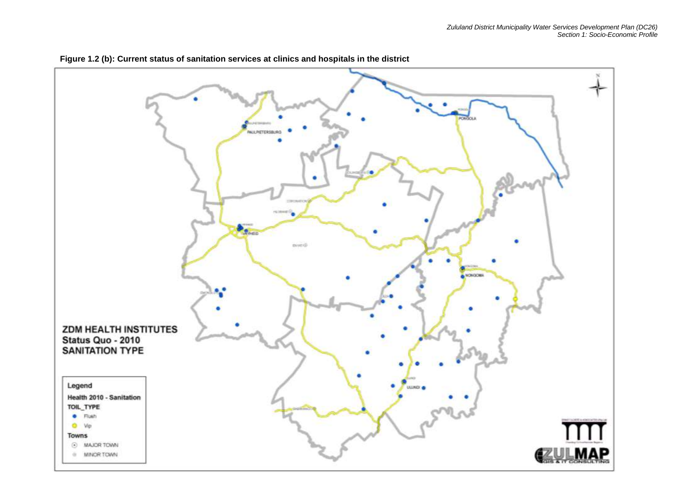

**Figure 1.2 (b): Current status of sanitation services at clinics and hospitals in the district**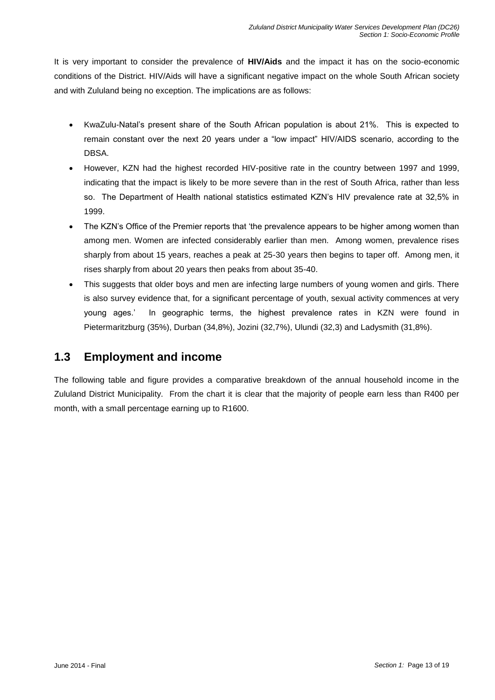It is very important to consider the prevalence of **HIV/Aids** and the impact it has on the socio-economic conditions of the District. HIV/Aids will have a significant negative impact on the whole South African society and with Zululand being no exception. The implications are as follows:

- KwaZulu-Natal's present share of the South African population is about 21%. This is expected to remain constant over the next 20 years under a "low impact" HIV/AIDS scenario, according to the DBSA.
- However, KZN had the highest recorded HIV-positive rate in the country between 1997 and 1999, indicating that the impact is likely to be more severe than in the rest of South Africa, rather than less so. The Department of Health national statistics estimated KZN's HIV prevalence rate at 32,5% in 1999.
- The KZN's Office of the Premier reports that 'the prevalence appears to be higher among women than among men. Women are infected considerably earlier than men. Among women, prevalence rises sharply from about 15 years, reaches a peak at 25-30 years then begins to taper off. Among men, it rises sharply from about 20 years then peaks from about 35-40.
- This suggests that older boys and men are infecting large numbers of young women and girls. There is also survey evidence that, for a significant percentage of youth, sexual activity commences at very young ages.' In geographic terms, the highest prevalence rates in KZN were found in Pietermaritzburg (35%), Durban (34,8%), Jozini (32,7%), Ulundi (32,3) and Ladysmith (31,8%).

# **1.3 Employment and income**

The following table and figure provides a comparative breakdown of the annual household income in the Zululand District Municipality. From the chart it is clear that the majority of people earn less than R400 per month, with a small percentage earning up to R1600.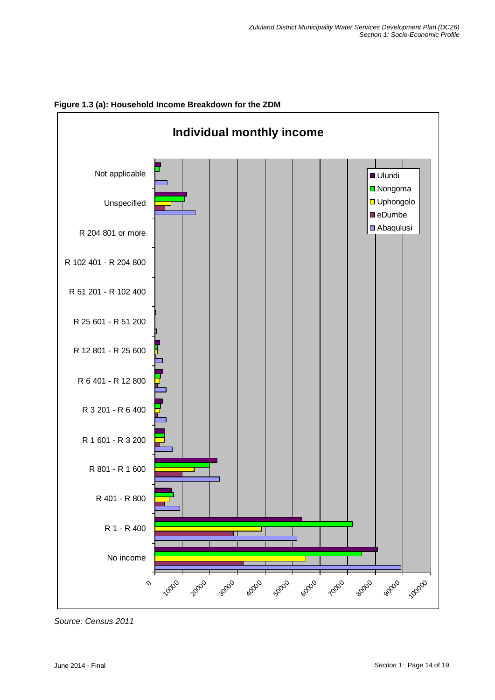

**Figure 1.3 (a): Household Income Breakdown for the ZDM**

*Source: Census 2011*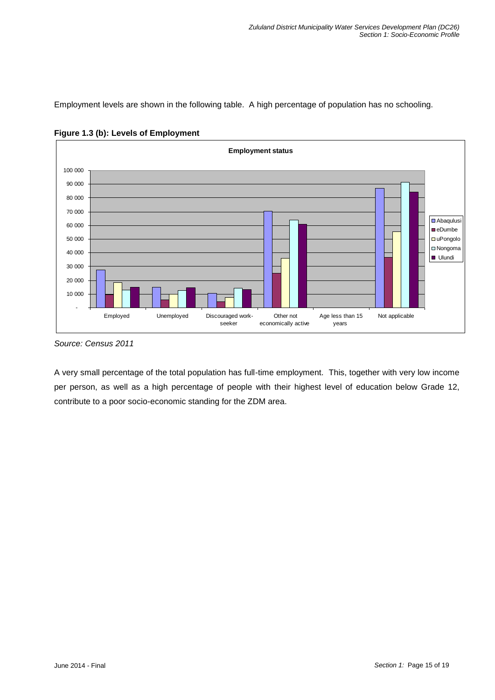Employment levels are shown in the following table. A high percentage of population has no schooling.





A very small percentage of the total population has full-time employment. This, together with very low income per person, as well as a high percentage of people with their highest level of education below Grade 12, contribute to a poor socio-economic standing for the ZDM area.

*Source: Census 2011*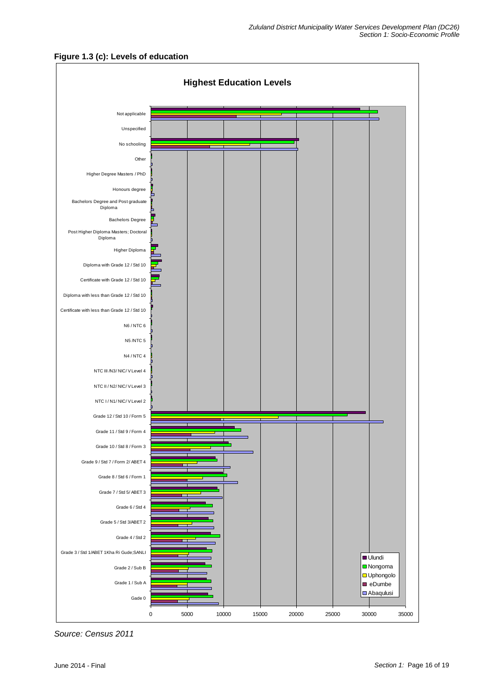



*Source: Census 2011*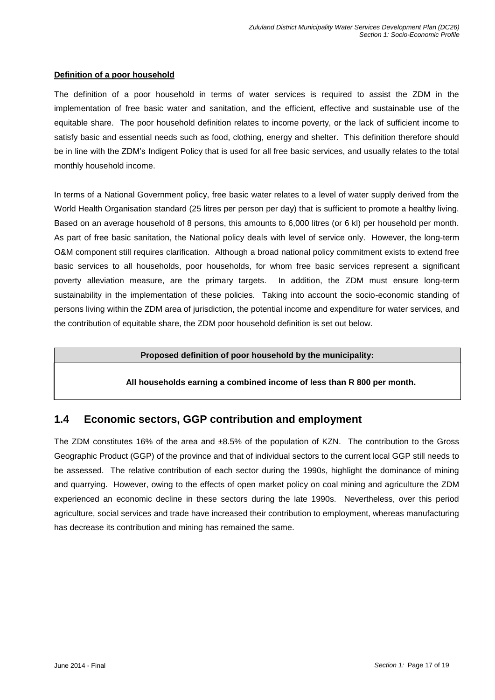#### **Definition of a poor household**

The definition of a poor household in terms of water services is required to assist the ZDM in the implementation of free basic water and sanitation, and the efficient, effective and sustainable use of the equitable share. The poor household definition relates to income poverty, or the lack of sufficient income to satisfy basic and essential needs such as food, clothing, energy and shelter. This definition therefore should be in line with the ZDM's Indigent Policy that is used for all free basic services, and usually relates to the total monthly household income.

In terms of a National Government policy, free basic water relates to a level of water supply derived from the World Health Organisation standard (25 litres per person per day) that is sufficient to promote a healthy living. Based on an average household of 8 persons, this amounts to 6,000 litres (or 6 kl) per household per month. As part of free basic sanitation, the National policy deals with level of service only. However, the long-term O&M component still requires clarification. Although a broad national policy commitment exists to extend free basic services to all households, poor households, for whom free basic services represent a significant poverty alleviation measure, are the primary targets. In addition, the ZDM must ensure long-term sustainability in the implementation of these policies. Taking into account the socio-economic standing of persons living within the ZDM area of jurisdiction, the potential income and expenditure for water services, and the contribution of equitable share, the ZDM poor household definition is set out below.

#### **Proposed definition of poor household by the municipality:**

#### **All households earning a combined income of less than R 800 per month.**

# **1.4 Economic sectors, GGP contribution and employment**

The ZDM constitutes 16% of the area and  $\pm 8.5$ % of the population of KZN. The contribution to the Gross Geographic Product (GGP) of the province and that of individual sectors to the current local GGP still needs to be assessed. The relative contribution of each sector during the 1990s, highlight the dominance of mining and quarrying. However, owing to the effects of open market policy on coal mining and agriculture the ZDM experienced an economic decline in these sectors during the late 1990s. Nevertheless, over this period agriculture, social services and trade have increased their contribution to employment, whereas manufacturing has decrease its contribution and mining has remained the same.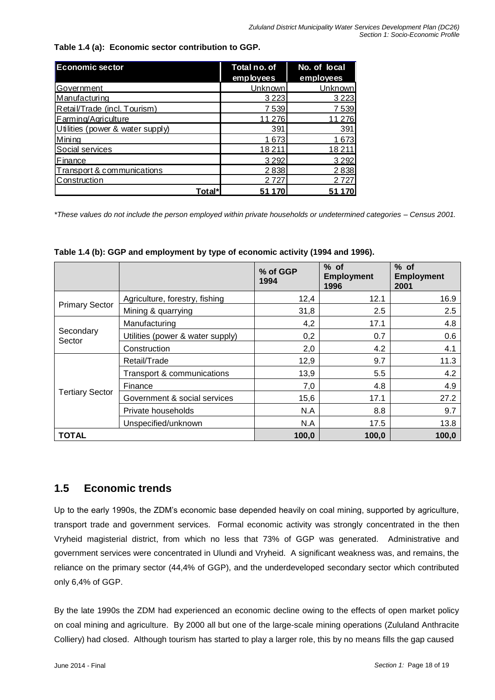**Table 1.4 (a): Economic sector contribution to GGP.**

| <b>Economic sector</b>           | Total no. of   | No. of local |  |
|----------------------------------|----------------|--------------|--|
|                                  | employees      | employees    |  |
| Government                       | Unknown        | Unknown      |  |
| Manufacturing                    | 3 2 2 3        | 3 2 2 3      |  |
| Retail/Trade (incl. Tourism)     | 7539           | 7539         |  |
| Farming/Agriculture              | 11 276         | 11 276       |  |
| Utilities (power & water supply) | 391            | 391          |  |
| Mining                           | 1673           | 1673         |  |
| Social services                  | 18211          | 18 2 11      |  |
| Finance                          | 3 2 9 2        | 3 2 9 2      |  |
| Transport & communications       | 2838           | 2838         |  |
| Construction                     | 2 7 2 7        | 2 7 2 7      |  |
|                                  | Total*<br>51 1 | 51           |  |

**Table 1.4 (b): GGP and employment by type of economic activity (1994 and 1996).**

| <b>Economic sector</b>           |                                                                                                                                                                                                         | Total no. of |                  |       | No. of local                |       |                             |
|----------------------------------|---------------------------------------------------------------------------------------------------------------------------------------------------------------------------------------------------------|--------------|------------------|-------|-----------------------------|-------|-----------------------------|
| Government                       |                                                                                                                                                                                                         | employees    | <b>Unknown</b>   |       | employees<br><b>Unknown</b> |       |                             |
| Manufacturing                    |                                                                                                                                                                                                         |              | 3 2 2 3          |       | 3 2 2 3                     |       |                             |
| Retail/Trade (incl. Tourism)     |                                                                                                                                                                                                         |              | 7539             |       | 7539                        |       |                             |
| Farming/Agriculture              |                                                                                                                                                                                                         |              | 11 276           |       | 11 276                      |       |                             |
| Utilities (power & water supply) |                                                                                                                                                                                                         |              | 391              |       | 391                         |       |                             |
| Mining                           |                                                                                                                                                                                                         |              | 1673             |       | 1673                        |       |                             |
| Social services                  |                                                                                                                                                                                                         |              | 18211            |       | 18211                       |       |                             |
| Finance                          |                                                                                                                                                                                                         |              | 3 2 9 2          |       | 3 2 9 2                     |       |                             |
| Transport & communications       |                                                                                                                                                                                                         |              | 2838             |       | 2838                        |       |                             |
| Construction                     |                                                                                                                                                                                                         |              | 2727             |       | 2727                        |       |                             |
|                                  | Total*                                                                                                                                                                                                  |              | 51 170           |       | 51 170                      |       |                             |
|                                  | *These values do not include the person employed within private households or undetermined categories - Census 2001.<br>Table 1.4 (b): GGP and employment by type of economic activity (1994 and 1996). |              | % of GGP<br>1994 |       | $%$ of<br><b>Employment</b> |       | $%$ of<br><b>Employment</b> |
|                                  |                                                                                                                                                                                                         |              |                  |       | 1996                        |       | 2001                        |
| <b>Primary Sector</b>            | Agriculture, forestry, fishing                                                                                                                                                                          |              |                  | 12,4  |                             | 12.1  | 16.9                        |
|                                  | Mining & quarrying                                                                                                                                                                                      |              |                  | 31,8  |                             | 2.5   | 2.5                         |
|                                  | Manufacturing                                                                                                                                                                                           |              |                  | 4,2   |                             | 17.1  | 4.8                         |
| Secondary<br>Sector              | Utilities (power & water supply)                                                                                                                                                                        |              |                  | 0,2   |                             | 0.7   | 0.6                         |
|                                  | Construction                                                                                                                                                                                            |              |                  | 2,0   |                             | 4.2   | 4.1                         |
|                                  | Retail/Trade                                                                                                                                                                                            |              |                  | 12,9  |                             | 9.7   | 11.3                        |
|                                  | Transport & communications                                                                                                                                                                              |              |                  | 13,9  |                             | 5.5   | 4.2                         |
|                                  | Finance                                                                                                                                                                                                 |              |                  | 7,0   |                             | 4.8   | 4.9                         |
| <b>Tertiary Sector</b>           | Government & social services                                                                                                                                                                            |              |                  |       |                             | 17.1  | 27.2                        |
|                                  |                                                                                                                                                                                                         |              |                  | 15,6  |                             |       |                             |
|                                  | Private households                                                                                                                                                                                      |              |                  | N.A   |                             | 8.8   | 9.7                         |
|                                  | Unspecified/unknown                                                                                                                                                                                     |              |                  |       |                             |       | 13.8                        |
|                                  |                                                                                                                                                                                                         |              |                  | 100,0 |                             | 100,0 | 100,0                       |
| <b>TOTAL</b><br>1.5              | <b>Economic trends</b>                                                                                                                                                                                  |              |                  | N.A   |                             | 17.5  |                             |
|                                  | Up to the early 1990s, the ZDM's economic base depended heavily on coal mining, supported by agriculture,                                                                                               |              |                  |       |                             |       |                             |
|                                  | transport trade and government services. Formal economic activity was strongly concentrated in the then                                                                                                 |              |                  |       |                             |       |                             |
|                                  | Vryheid magisterial district, from which no less that 73% of GGP was generated. Administrative and                                                                                                      |              |                  |       |                             |       |                             |
|                                  | government services were concentrated in Ulundi and Vryheid. A significant weakness was, and remains, the                                                                                               |              |                  |       |                             |       |                             |
|                                  |                                                                                                                                                                                                         |              |                  |       |                             |       |                             |
|                                  | reliance on the primary sector (44,4% of GGP), and the underdeveloped secondary sector which contributed                                                                                                |              |                  |       |                             |       |                             |
| only 6,4% of GGP.                |                                                                                                                                                                                                         |              |                  |       |                             |       |                             |
|                                  | By the late 1990s the ZDM had experienced an economic decline owing to the effects of open market policy                                                                                                |              |                  |       |                             |       |                             |
|                                  | on coal mining and agriculture. By 2000 all but one of the large-scale mining operations (Zululand Anthracite                                                                                           |              |                  |       |                             |       |                             |
|                                  | Colliery) had closed. Although tourism has started to play a larger role, this by no means fills the gap caused                                                                                         |              |                  |       |                             |       |                             |

# **1.5 Economic trends**